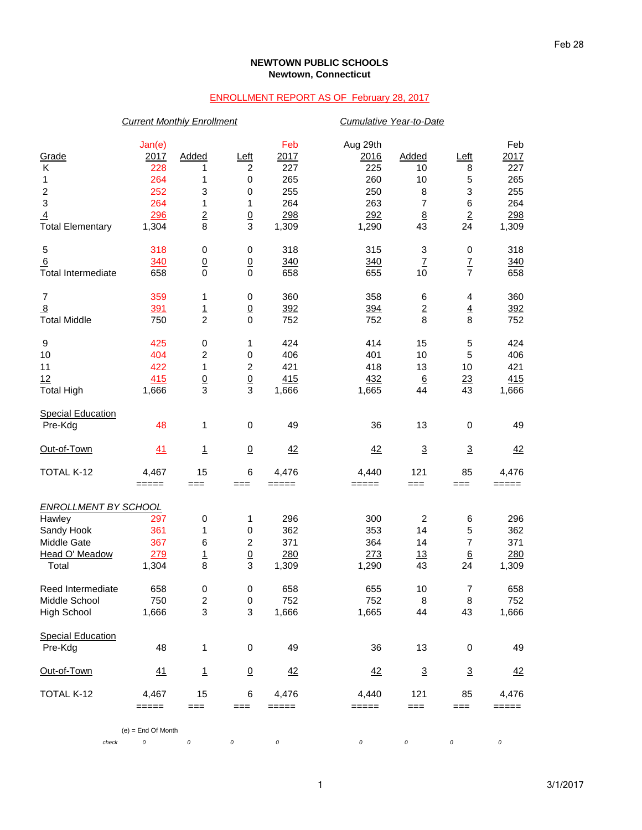## **NEWTOWN PUBLIC SCHOOLS Newtown, Connecticut**

## ENROLLMENT REPORT AS OF February 28, 2017

|                                     | <b>Current Monthly Enrollment</b> |                          |                           | Cumulative Year-to-Date                                   |                         |                           |                  |                    |
|-------------------------------------|-----------------------------------|--------------------------|---------------------------|-----------------------------------------------------------|-------------------------|---------------------------|------------------|--------------------|
| Grade<br>Κ                          | Jan(e)<br><u> 2017 </u><br>228    | Added<br>1               | Left<br>$\overline{c}$    | Feb<br>2017<br>227                                        | Aug 29th<br>2016<br>225 | Added<br>10               | Left<br>8        | Feb<br>2017<br>227 |
| 1                                   | 264                               | 1                        | $\,0\,$                   | 265                                                       | 260                     | 10                        | 5                | 265                |
| $\overline{\mathbf{c}}$             | 252                               | 3                        | 0                         | 255                                                       | 250                     | 8                         | 3                | 255                |
| $\ensuremath{\mathsf{3}}$           | 264                               | 1                        | 1                         | 264                                                       | 263                     | 7                         | 6                | 264                |
| $\overline{4}$                      | 296                               | $\underline{2}$          | $\underline{0}$           | 298                                                       | 292                     | $\underline{8}$           | $\overline{2}$   | 298                |
| <b>Total Elementary</b>             | 1,304                             | 8                        | 3                         | 1,309                                                     | 1,290                   | 43                        | 24               | 1,309              |
| $\mathbf 5$                         | 318                               | $\pmb{0}$                | $\pmb{0}$                 | 318                                                       | 315                     | 3                         | $\pmb{0}$        | 318                |
| 6                                   | 340                               | $\underline{0}$          | $\underline{0}$           | 340                                                       | 340                     | $\ensuremath{\mathsf{Z}}$ | $\frac{7}{7}$    | 340                |
| <b>Total Intermediate</b>           | 658                               | $\mathbf 0$              | $\mathbf 0$               | 658                                                       | 655                     | 10                        |                  | 658                |
| 7                                   | 359                               | 1                        | $\,0\,$                   | 360                                                       | 358                     | 6                         | 4                | 360                |
| $\overline{8}$                      | 391                               | $\overline{1}$           | $\underline{0}$           | 392                                                       | 394                     | $\overline{2}$            | $\overline{4}$   | 392                |
| <b>Total Middle</b>                 | 750                               | $\overline{c}$           | $\mathbf 0$               | 752                                                       | 752                     | 8                         | 8                | 752                |
| 9                                   | 425                               | $\pmb{0}$                | 1                         | 424                                                       | 414                     | 15                        | 5                | 424                |
| 10                                  | 404                               | $\overline{c}$           | 0                         | 406                                                       | 401                     | 10                        | 5                | 406                |
| 11                                  | 422                               | 1                        | $\boldsymbol{2}$          | 421                                                       | 418                     | 13                        | 10               | 421                |
| 12                                  | 415                               | $\frac{0}{3}$            | $\underline{0}$<br>3      | 415                                                       | 432                     | $6\phantom{1}6$           | 23               | 415                |
| <b>Total High</b>                   | 1,666                             |                          |                           | 1,666                                                     | 1,665                   | 44                        | 43               | 1,666              |
| <b>Special Education</b><br>Pre-Kdg | 48                                | $\mathbf{1}$             | $\mathbf 0$               | 49                                                        | 36                      | 13                        | $\mathbf 0$      | 49                 |
|                                     |                                   |                          |                           |                                                           |                         |                           |                  |                    |
| Out-of-Town                         | 41                                | $\overline{1}$           | $\overline{0}$            | 42                                                        | 42                      | $\overline{3}$            | $\overline{3}$   | 42                 |
| TOTAL K-12                          | 4,467                             | 15                       | 6                         | 4,476                                                     | 4,440                   | 121                       | 85               | 4,476              |
|                                     | $=====$                           | $==$                     | $==$                      | =====                                                     | =====                   | $==$                      | $==$             | =====              |
| <b>ENROLLMENT BY SCHOOL</b>         |                                   |                          |                           |                                                           |                         |                           |                  |                    |
| Hawley                              | 297                               | $\pmb{0}$                | 1                         | 296                                                       | 300                     | $\overline{c}$            | 6                | 296                |
| Sandy Hook                          | 361                               | $\mathbf{1}$             | 0                         | 362                                                       | 353                     | 14                        | 5                | 362                |
| Middle Gate                         | 367                               | 6                        | $\boldsymbol{2}$          | 371                                                       | 364                     | 14                        | 7                | 371                |
| Head O' Meadow                      | 279                               | $\overline{1}$           | $\overline{0}$            | 280                                                       | 273                     | 13                        | $6\phantom{1}6$  | 280                |
| Total                               | 1,304                             | 8                        | 3                         | 1,309                                                     | 1,290                   | 43                        | 24               | 1,309              |
| Reed Intermediate                   | 658                               | $\pmb{0}$                | $\pmb{0}$                 | 658                                                       | 655                     | $10$                      | $\boldsymbol{7}$ | 658                |
| Middle School                       | 750                               | $\boldsymbol{2}$         | $\,0\,$                   | 752                                                       | 752                     | 8                         | 8                | 752                |
| <b>High School</b>                  | 1,666                             | $\mathsf 3$              | $\ensuremath{\mathsf{3}}$ | 1,666                                                     | 1,665                   | 44                        | 43               | 1,666              |
| <b>Special Education</b>            |                                   |                          |                           |                                                           |                         |                           |                  |                    |
| Pre-Kdg                             | 48                                | 1                        | $\pmb{0}$                 | 49                                                        | 36                      | 13                        | $\mathbf 0$      | 49                 |
| Out-of-Town                         | 41                                | $\underline{\mathbf{1}}$ | $\overline{0}$            | 42                                                        | 42                      | $\overline{3}$            | $\overline{3}$   | 42                 |
| TOTAL K-12                          | 4,467                             | 15                       | $\,6$                     | 4,476                                                     | 4,440                   | 121                       | 85               | 4,476              |
|                                     | =====                             | $==$                     | ===                       | $\qquad \qquad \equiv \equiv \equiv \equiv \equiv \equiv$ | =====                   | $==$                      | $==$             | =====              |
|                                     | $(e)$ = End Of Month              |                          |                           |                                                           |                         |                           |                  |                    |
| check                               | 0                                 | 0                        | 0                         | $\cal O$                                                  | 0                       | 0                         | 0                | 0                  |